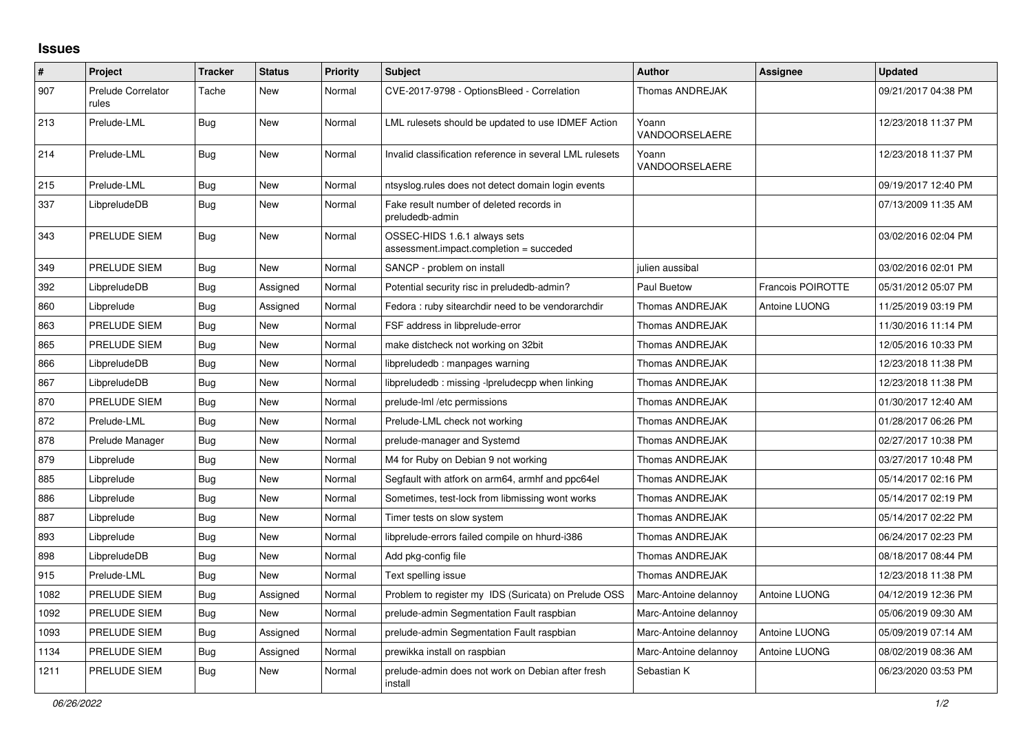## **Issues**

| ∦    | Project                            | <b>Tracker</b> | <b>Status</b> | <b>Priority</b> | <b>Subject</b>                                                          | <b>Author</b>           | <b>Assignee</b>   | <b>Updated</b>      |
|------|------------------------------------|----------------|---------------|-----------------|-------------------------------------------------------------------------|-------------------------|-------------------|---------------------|
| 907  | <b>Prelude Correlator</b><br>rules | Tache          | New           | Normal          | CVE-2017-9798 - OptionsBleed - Correlation                              | <b>Thomas ANDREJAK</b>  |                   | 09/21/2017 04:38 PM |
| 213  | Prelude-LML                        | Bug            | New           | Normal          | LML rulesets should be updated to use IDMEF Action                      | Yoann<br>VANDOORSELAERE |                   | 12/23/2018 11:37 PM |
| 214  | Prelude-LML                        | Bug            | <b>New</b>    | Normal          | Invalid classification reference in several LML rulesets                | Yoann<br>VANDOORSELAERE |                   | 12/23/2018 11:37 PM |
| 215  | Prelude-LML                        | Bug            | New           | Normal          | ntsyslog.rules does not detect domain login events                      |                         |                   | 09/19/2017 12:40 PM |
| 337  | LibpreludeDB                       | Bug            | New           | Normal          | Fake result number of deleted records in<br>preludedb-admin             |                         |                   | 07/13/2009 11:35 AM |
| 343  | PRELUDE SIEM                       | Bug            | New           | Normal          | OSSEC-HIDS 1.6.1 always sets<br>assessment.impact.completion = succeded |                         |                   | 03/02/2016 02:04 PM |
| 349  | PRELUDE SIEM                       | <b>Bug</b>     | New           | Normal          | SANCP - problem on install                                              | julien aussibal         |                   | 03/02/2016 02:01 PM |
| 392  | LibpreludeDB                       | Bug            | Assigned      | Normal          | Potential security risc in preludedb-admin?                             | Paul Buetow             | Francois POIROTTE | 05/31/2012 05:07 PM |
| 860  | Libprelude                         | Bug            | Assigned      | Normal          | Fedora: ruby sitearchdir need to be vendorarchdir                       | Thomas ANDREJAK         | Antoine LUONG     | 11/25/2019 03:19 PM |
| 863  | PRELUDE SIEM                       | Bug            | New           | Normal          | FSF address in libprelude-error                                         | Thomas ANDREJAK         |                   | 11/30/2016 11:14 PM |
| 865  | PRELUDE SIEM                       | Bug            | <b>New</b>    | Normal          | make distcheck not working on 32bit                                     | <b>Thomas ANDREJAK</b>  |                   | 12/05/2016 10:33 PM |
| 866  | LibpreludeDB                       | Bug            | <b>New</b>    | Normal          | libpreludedb: manpages warning                                          | Thomas ANDREJAK         |                   | 12/23/2018 11:38 PM |
| 867  | LibpreludeDB                       | Bug            | New           | Normal          | libpreludedb: missing -lpreludecpp when linking                         | Thomas ANDREJAK         |                   | 12/23/2018 11:38 PM |
| 870  | PRELUDE SIEM                       | <b>Bug</b>     | New           | Normal          | prelude-lml /etc permissions                                            | Thomas ANDREJAK         |                   | 01/30/2017 12:40 AM |
| 872  | Prelude-LML                        | Bug            | New           | Normal          | Prelude-LML check not working                                           | Thomas ANDREJAK         |                   | 01/28/2017 06:26 PM |
| 878  | Prelude Manager                    | Bug            | <b>New</b>    | Normal          | prelude-manager and Systemd                                             | Thomas ANDREJAK         |                   | 02/27/2017 10:38 PM |
| 879  | Libprelude                         | Bug            | <b>New</b>    | Normal          | M4 for Ruby on Debian 9 not working                                     | Thomas ANDREJAK         |                   | 03/27/2017 10:48 PM |
| 885  | Libprelude                         | <b>Bug</b>     | New           | Normal          | Segfault with atfork on arm64, armhf and ppc64el                        | <b>Thomas ANDREJAK</b>  |                   | 05/14/2017 02:16 PM |
| 886  | Libprelude                         | Bug            | New           | Normal          | Sometimes, test-lock from libmissing wont works                         | Thomas ANDREJAK         |                   | 05/14/2017 02:19 PM |
| 887  | Libprelude                         | <b>Bug</b>     | New           | Normal          | Timer tests on slow system                                              | Thomas ANDREJAK         |                   | 05/14/2017 02:22 PM |
| 893  | Libprelude                         | Bug            | <b>New</b>    | Normal          | libprelude-errors failed compile on hhurd-i386                          | Thomas ANDREJAK         |                   | 06/24/2017 02:23 PM |
| 898  | LibpreludeDB                       | Bug            | New           | Normal          | Add pkg-config file                                                     | Thomas ANDREJAK         |                   | 08/18/2017 08:44 PM |
| 915  | Prelude-LML                        | <b>Bug</b>     | <b>New</b>    | Normal          | Text spelling issue                                                     | Thomas ANDREJAK         |                   | 12/23/2018 11:38 PM |
| 1082 | PRELUDE SIEM                       | Bug            | Assigned      | Normal          | Problem to register my IDS (Suricata) on Prelude OSS                    | Marc-Antoine delannoy   | Antoine LUONG     | 04/12/2019 12:36 PM |
| 1092 | PRELUDE SIEM                       | Bug            | <b>New</b>    | Normal          | prelude-admin Segmentation Fault raspbian                               | Marc-Antoine delannoy   |                   | 05/06/2019 09:30 AM |
| 1093 | PRELUDE SIEM                       | <b>Bug</b>     | Assigned      | Normal          | prelude-admin Segmentation Fault raspbian                               | Marc-Antoine delannoy   | Antoine LUONG     | 05/09/2019 07:14 AM |
| 1134 | PRELUDE SIEM                       | <b>Bug</b>     | Assigned      | Normal          | prewikka install on raspbian                                            | Marc-Antoine delannoy   | Antoine LUONG     | 08/02/2019 08:36 AM |
| 1211 | PRELUDE SIEM                       | Bug            | New           | Normal          | prelude-admin does not work on Debian after fresh<br>install            | Sebastian K             |                   | 06/23/2020 03:53 PM |